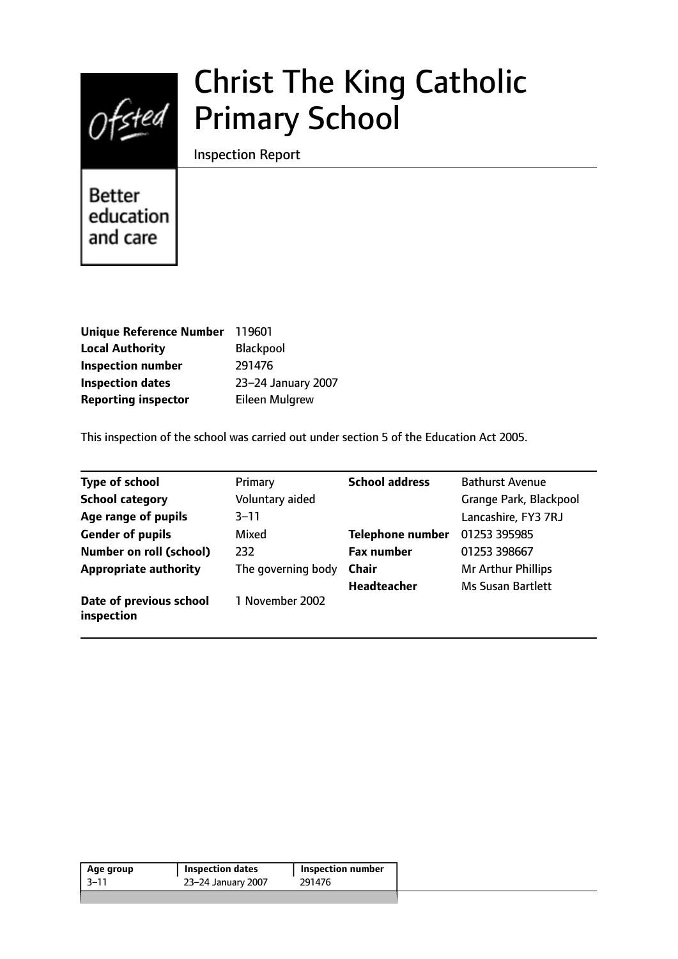

# Christ The King Catholic Primary School

Inspection Report

**Better** education and care

| <b>Unique Reference Number</b> | 119601                |
|--------------------------------|-----------------------|
| <b>Local Authority</b>         | Blackpool             |
| <b>Inspection number</b>       | 291476                |
| <b>Inspection dates</b>        | 23-24 January 2007    |
| <b>Reporting inspector</b>     | <b>Eileen Mulgrew</b> |

This inspection of the school was carried out under section 5 of the Education Act 2005.

| <b>Type of school</b>                 | Primary            | <b>School address</b>   | <b>Bathurst Avenue</b>   |
|---------------------------------------|--------------------|-------------------------|--------------------------|
| <b>School category</b>                | Voluntary aided    |                         | Grange Park, Blackpool   |
| Age range of pupils                   | $3 - 11$           |                         | Lancashire, FY3 7RJ      |
| <b>Gender of pupils</b>               | Mixed              | <b>Telephone number</b> | 01253 395985             |
| Number on roll (school)               | 232                | <b>Fax number</b>       | 01253 398667             |
| <b>Appropriate authority</b>          | The governing body | <b>Chair</b>            | Mr Arthur Phillips       |
|                                       |                    | <b>Headteacher</b>      | <b>Ms Susan Bartlett</b> |
| Date of previous school<br>inspection | 1 November 2002    |                         |                          |

| 291476<br>-3–11<br>23-24 January 2007 | Age group | <b>Inspection dates</b> | <b>Inspection number</b> |
|---------------------------------------|-----------|-------------------------|--------------------------|
|                                       |           |                         |                          |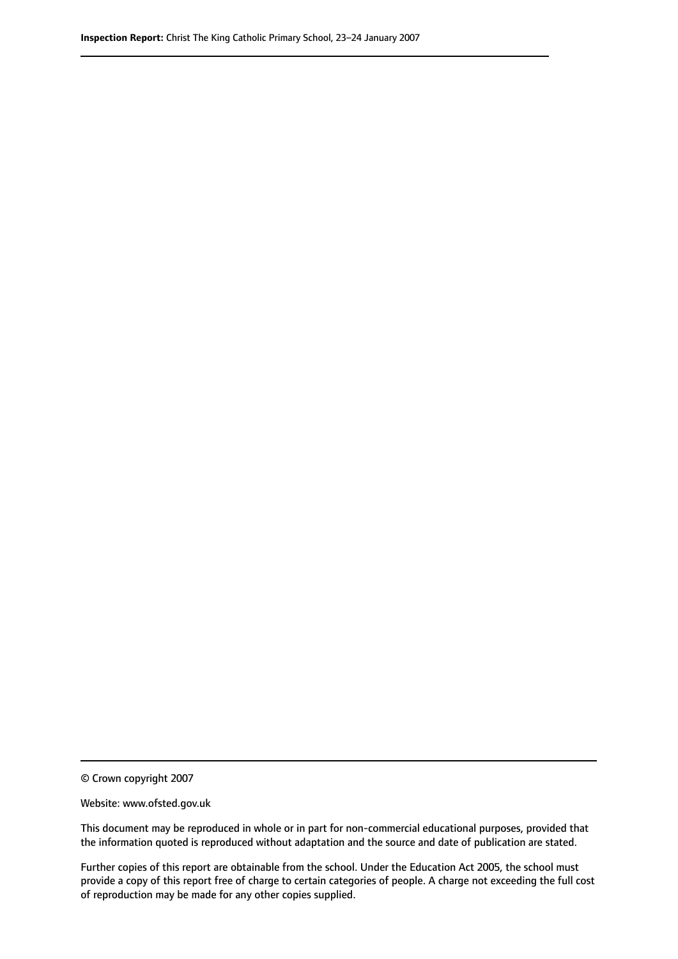© Crown copyright 2007

Website: www.ofsted.gov.uk

This document may be reproduced in whole or in part for non-commercial educational purposes, provided that the information quoted is reproduced without adaptation and the source and date of publication are stated.

Further copies of this report are obtainable from the school. Under the Education Act 2005, the school must provide a copy of this report free of charge to certain categories of people. A charge not exceeding the full cost of reproduction may be made for any other copies supplied.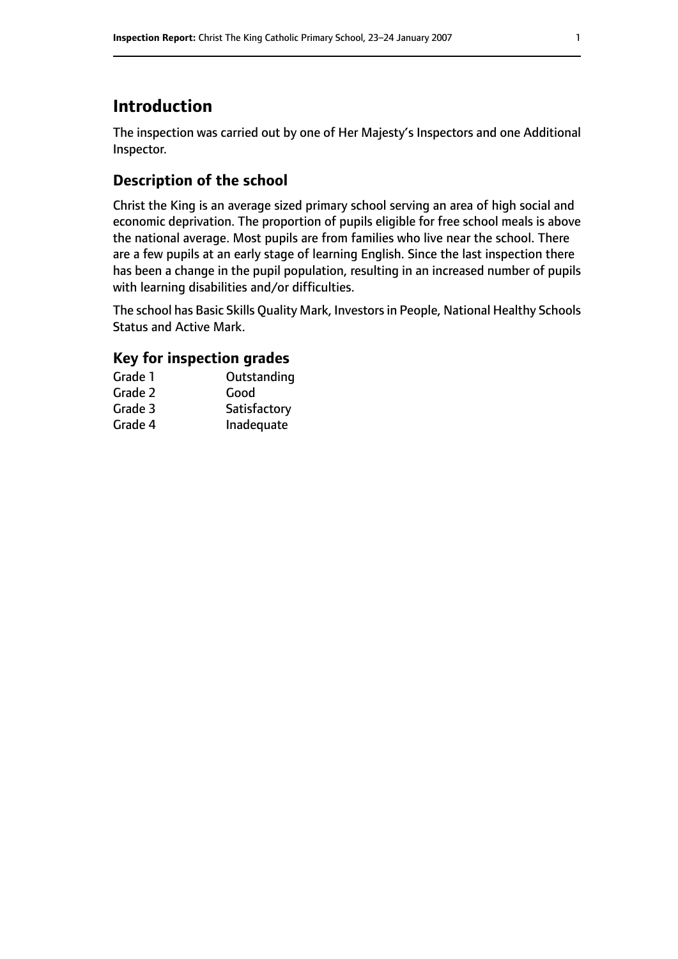# **Introduction**

The inspection was carried out by one of Her Majesty's Inspectors and one Additional Inspector.

# **Description of the school**

Christ the King is an average sized primary school serving an area of high social and economic deprivation. The proportion of pupils eligible for free school meals is above the national average. Most pupils are from families who live near the school. There are a few pupils at an early stage of learning English. Since the last inspection there has been a change in the pupil population, resulting in an increased number of pupils with learning disabilities and/or difficulties.

The school has Basic Skills Quality Mark, Investors in People, National Healthy Schools Status and Active Mark.

## **Key for inspection grades**

| Grade 1 | Outstanding  |
|---------|--------------|
| Grade 2 | Good         |
| Grade 3 | Satisfactory |
| Grade 4 | Inadequate   |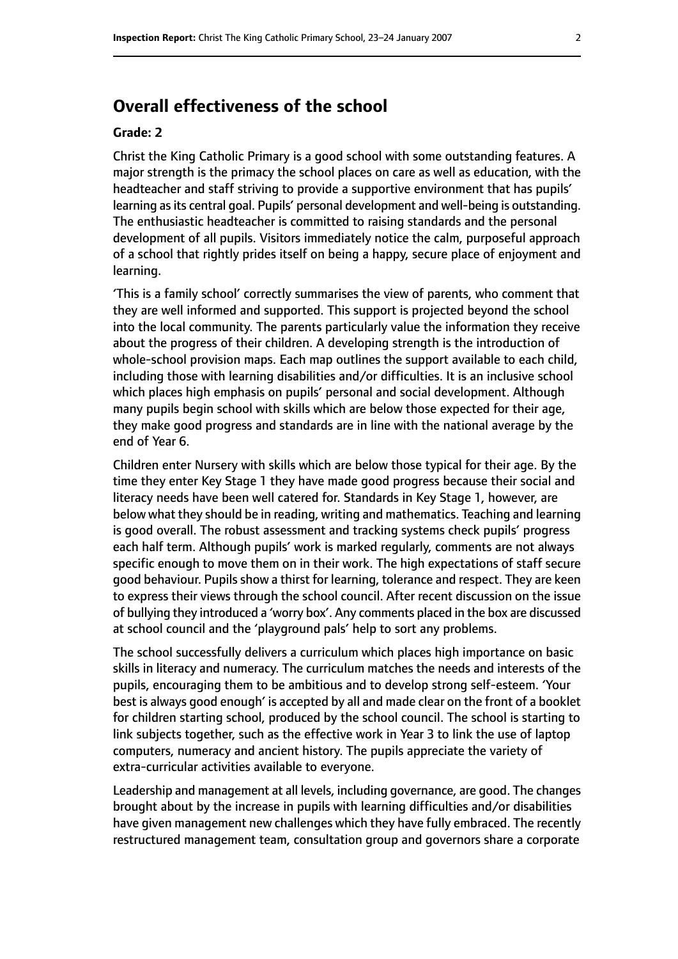# **Overall effectiveness of the school**

#### **Grade: 2**

Christ the King Catholic Primary is a good school with some outstanding features. A major strength is the primacy the school places on care as well as education, with the headteacher and staff striving to provide a supportive environment that has pupils' learning as its central goal. Pupils' personal development and well-being is outstanding. The enthusiastic headteacher is committed to raising standards and the personal development of all pupils. Visitors immediately notice the calm, purposeful approach of a school that rightly prides itself on being a happy, secure place of enjoyment and learning.

'This is a family school' correctly summarises the view of parents, who comment that they are well informed and supported. This support is projected beyond the school into the local community. The parents particularly value the information they receive about the progress of their children. A developing strength is the introduction of whole-school provision maps. Each map outlines the support available to each child, including those with learning disabilities and/or difficulties. It is an inclusive school which places high emphasis on pupils' personal and social development. Although many pupils begin school with skills which are below those expected for their age, they make good progress and standards are in line with the national average by the end of Year 6.

Children enter Nursery with skills which are below those typical for their age. By the time they enter Key Stage 1 they have made good progress because their social and literacy needs have been well catered for. Standards in Key Stage 1, however, are below what they should be in reading, writing and mathematics. Teaching and learning is good overall. The robust assessment and tracking systems check pupils' progress each half term. Although pupils' work is marked regularly, comments are not always specific enough to move them on in their work. The high expectations of staff secure good behaviour. Pupils show a thirst for learning, tolerance and respect. They are keen to express their views through the school council. After recent discussion on the issue of bullying they introduced a 'worry box'. Any comments placed in the box are discussed at school council and the 'playground pals' help to sort any problems.

The school successfully delivers a curriculum which places high importance on basic skills in literacy and numeracy. The curriculum matches the needs and interests of the pupils, encouraging them to be ambitious and to develop strong self-esteem. 'Your best is always good enough' is accepted by all and made clear on the front of a booklet for children starting school, produced by the school council. The school is starting to link subjects together, such as the effective work in Year 3 to link the use of laptop computers, numeracy and ancient history. The pupils appreciate the variety of extra-curricular activities available to everyone.

Leadership and management at all levels, including governance, are good. The changes brought about by the increase in pupils with learning difficulties and/or disabilities have given management new challenges which they have fully embraced. The recently restructured management team, consultation group and governors share a corporate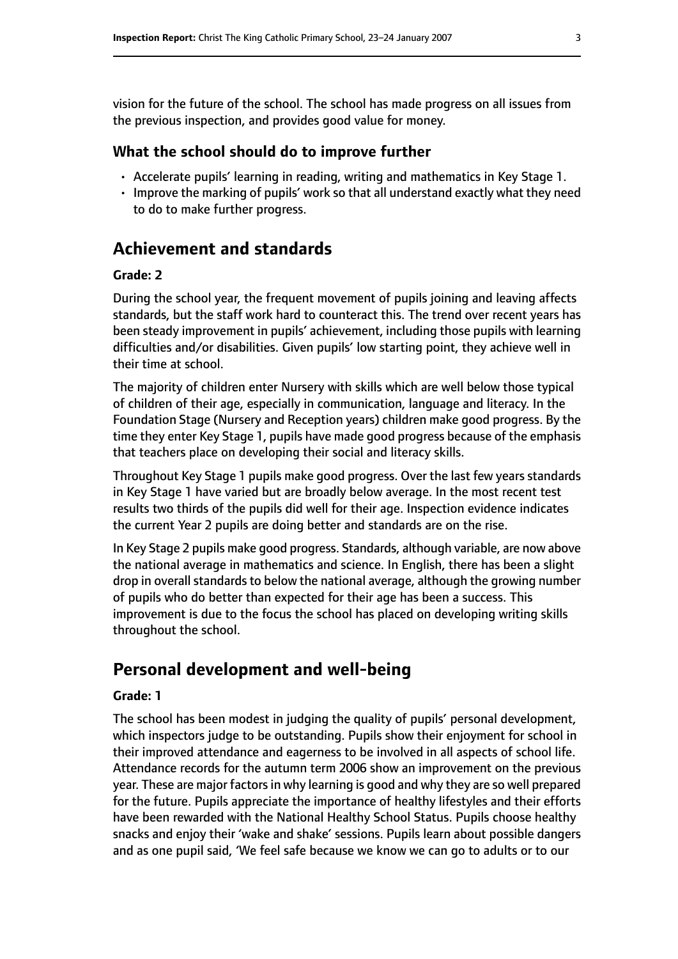vision for the future of the school. The school has made progress on all issues from the previous inspection, and provides good value for money.

#### **What the school should do to improve further**

- Accelerate pupils' learning in reading, writing and mathematics in Key Stage 1.
- Improve the marking of pupils' work so that all understand exactly what they need to do to make further progress.

# **Achievement and standards**

#### **Grade: 2**

During the school year, the frequent movement of pupils joining and leaving affects standards, but the staff work hard to counteract this. The trend over recent years has been steady improvement in pupils' achievement, including those pupils with learning difficulties and/or disabilities. Given pupils' low starting point, they achieve well in their time at school.

The majority of children enter Nursery with skills which are well below those typical of children of their age, especially in communication, language and literacy. In the Foundation Stage (Nursery and Reception years) children make good progress. By the time they enter Key Stage 1, pupils have made good progress because of the emphasis that teachers place on developing their social and literacy skills.

Throughout Key Stage 1 pupils make good progress. Over the last few years standards in Key Stage 1 have varied but are broadly below average. In the most recent test results two thirds of the pupils did well for their age. Inspection evidence indicates the current Year 2 pupils are doing better and standards are on the rise.

In Key Stage 2 pupils make good progress. Standards, although variable, are now above the national average in mathematics and science. In English, there has been a slight drop in overall standards to below the national average, although the growing number of pupils who do better than expected for their age has been a success. This improvement is due to the focus the school has placed on developing writing skills throughout the school.

# **Personal development and well-being**

#### **Grade: 1**

The school has been modest in judging the quality of pupils' personal development, which inspectors judge to be outstanding. Pupils show their enjoyment for school in their improved attendance and eagerness to be involved in all aspects of school life. Attendance records for the autumn term 2006 show an improvement on the previous year. These are major factors in why learning is good and why they are so well prepared for the future. Pupils appreciate the importance of healthy lifestyles and their efforts have been rewarded with the National Healthy School Status. Pupils choose healthy snacks and enjoy their 'wake and shake' sessions. Pupils learn about possible dangers and as one pupil said, 'We feel safe because we know we can go to adults or to our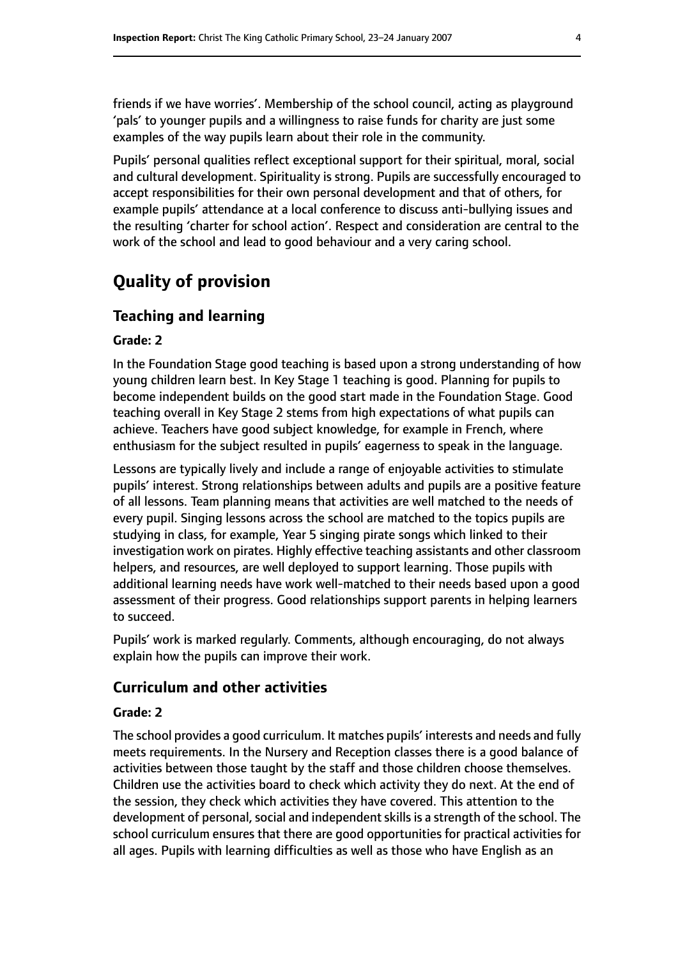friends if we have worries'. Membership of the school council, acting as playground 'pals' to younger pupils and a willingness to raise funds for charity are just some examples of the way pupils learn about their role in the community.

Pupils' personal qualities reflect exceptional support for their spiritual, moral, social and cultural development. Spirituality is strong. Pupils are successfully encouraged to accept responsibilities for their own personal development and that of others, for example pupils' attendance at a local conference to discuss anti-bullying issues and the resulting 'charter for school action'. Respect and consideration are central to the work of the school and lead to good behaviour and a very caring school.

# **Quality of provision**

# **Teaching and learning**

#### **Grade: 2**

In the Foundation Stage good teaching is based upon a strong understanding of how young children learn best. In Key Stage 1 teaching is good. Planning for pupils to become independent builds on the good start made in the Foundation Stage. Good teaching overall in Key Stage 2 stems from high expectations of what pupils can achieve. Teachers have good subject knowledge, for example in French, where enthusiasm for the subject resulted in pupils' eagerness to speak in the language.

Lessons are typically lively and include a range of enjoyable activities to stimulate pupils' interest. Strong relationships between adults and pupils are a positive feature of all lessons. Team planning means that activities are well matched to the needs of every pupil. Singing lessons across the school are matched to the topics pupils are studying in class, for example, Year 5 singing pirate songs which linked to their investigation work on pirates. Highly effective teaching assistants and other classroom helpers, and resources, are well deployed to support learning. Those pupils with additional learning needs have work well-matched to their needs based upon a good assessment of their progress. Good relationships support parents in helping learners to succeed.

Pupils' work is marked regularly. Comments, although encouraging, do not always explain how the pupils can improve their work.

#### **Curriculum and other activities**

#### **Grade: 2**

The school provides a good curriculum. It matches pupils' interests and needs and fully meets requirements. In the Nursery and Reception classes there is a good balance of activities between those taught by the staff and those children choose themselves. Children use the activities board to check which activity they do next. At the end of the session, they check which activities they have covered. This attention to the development of personal, social and independent skills is a strength of the school. The school curriculum ensures that there are good opportunities for practical activities for all ages. Pupils with learning difficulties as well as those who have English as an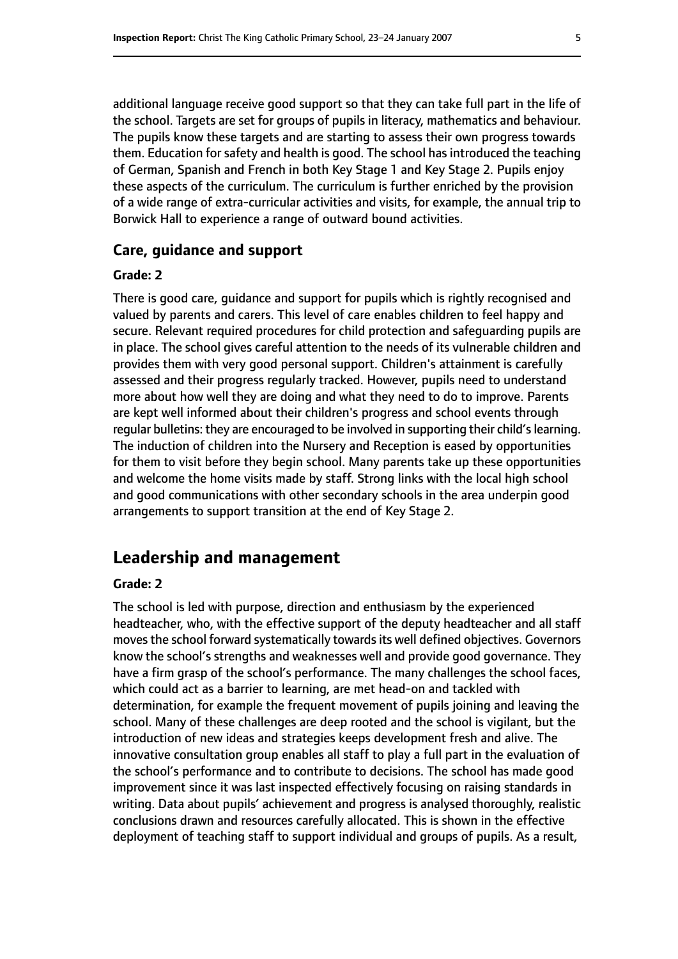additional language receive good support so that they can take full part in the life of the school. Targets are set for groups of pupils in literacy, mathematics and behaviour. The pupils know these targets and are starting to assess their own progress towards them. Education for safety and health is good. The school has introduced the teaching of German, Spanish and French in both Key Stage 1 and Key Stage 2. Pupils enjoy these aspects of the curriculum. The curriculum is further enriched by the provision of a wide range of extra-curricular activities and visits, for example, the annual trip to Borwick Hall to experience a range of outward bound activities.

#### **Care, guidance and support**

#### **Grade: 2**

There is good care, guidance and support for pupils which is rightly recognised and valued by parents and carers. This level of care enables children to feel happy and secure. Relevant required procedures for child protection and safeguarding pupils are in place. The school gives careful attention to the needs of its vulnerable children and provides them with very good personal support. Children's attainment is carefully assessed and their progress regularly tracked. However, pupils need to understand more about how well they are doing and what they need to do to improve. Parents are kept well informed about their children's progress and school events through regular bulletins: they are encouraged to be involved in supporting their child's learning. The induction of children into the Nursery and Reception is eased by opportunities for them to visit before they begin school. Many parents take up these opportunities and welcome the home visits made by staff. Strong links with the local high school and good communications with other secondary schools in the area underpin good arrangements to support transition at the end of Key Stage 2.

## **Leadership and management**

#### **Grade: 2**

The school is led with purpose, direction and enthusiasm by the experienced headteacher, who, with the effective support of the deputy headteacher and all staff moves the school forward systematically towards its well defined objectives. Governors know the school's strengths and weaknesses well and provide good governance. They have a firm grasp of the school's performance. The many challenges the school faces, which could act as a barrier to learning, are met head-on and tackled with determination, for example the frequent movement of pupils joining and leaving the school. Many of these challenges are deep rooted and the school is vigilant, but the introduction of new ideas and strategies keeps development fresh and alive. The innovative consultation group enables all staff to play a full part in the evaluation of the school's performance and to contribute to decisions. The school has made good improvement since it was last inspected effectively focusing on raising standards in writing. Data about pupils' achievement and progress is analysed thoroughly, realistic conclusions drawn and resources carefully allocated. This is shown in the effective deployment of teaching staff to support individual and groups of pupils. As a result,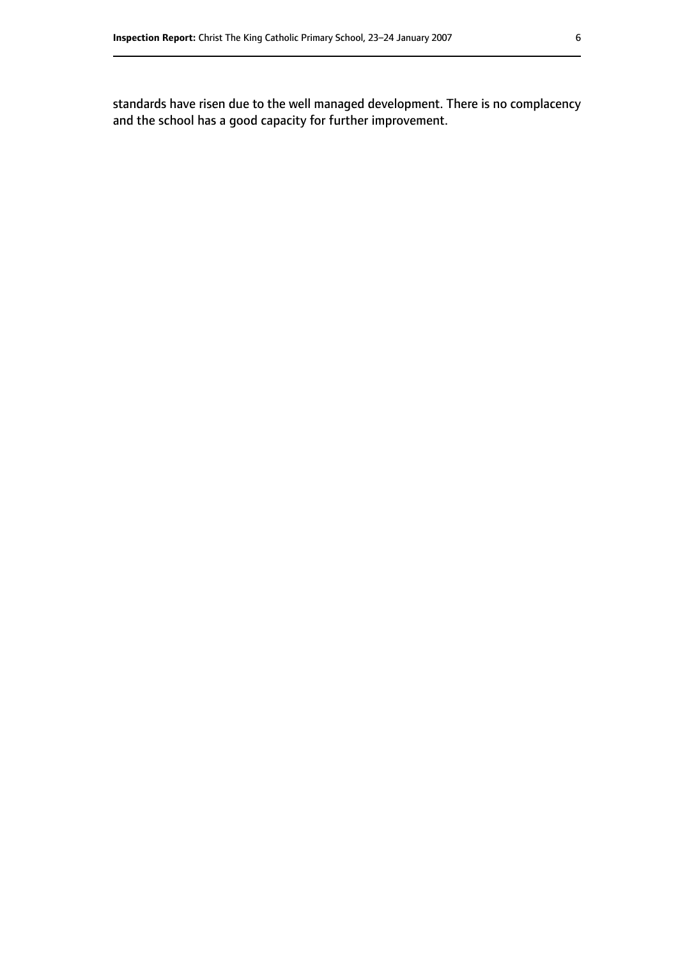standards have risen due to the well managed development. There is no complacency and the school has a good capacity for further improvement.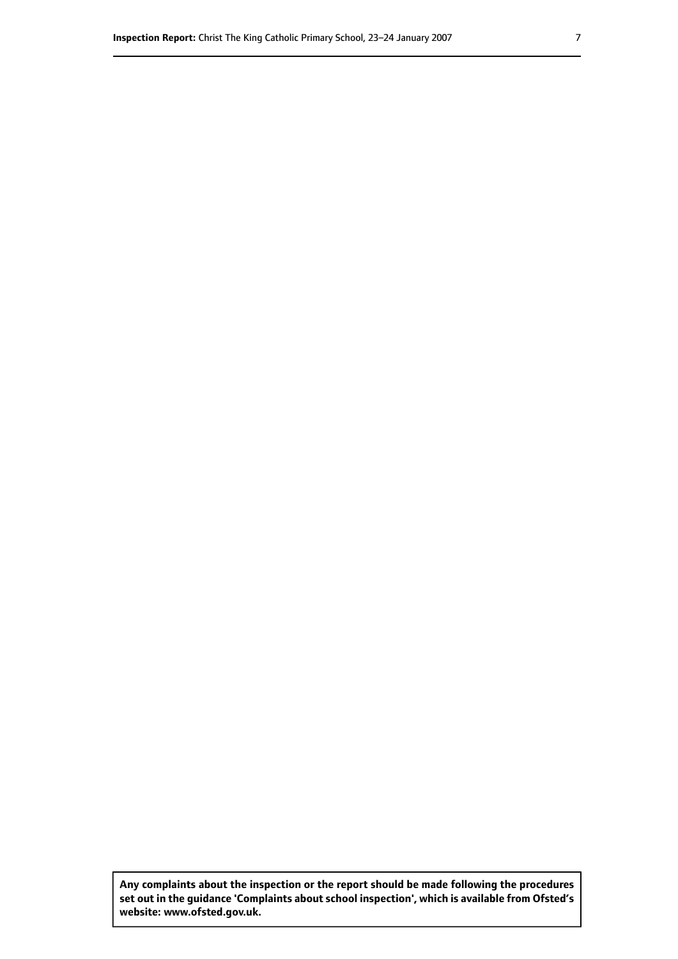**Any complaints about the inspection or the report should be made following the procedures set out inthe guidance 'Complaints about school inspection', whichis available from Ofsted's website: www.ofsted.gov.uk.**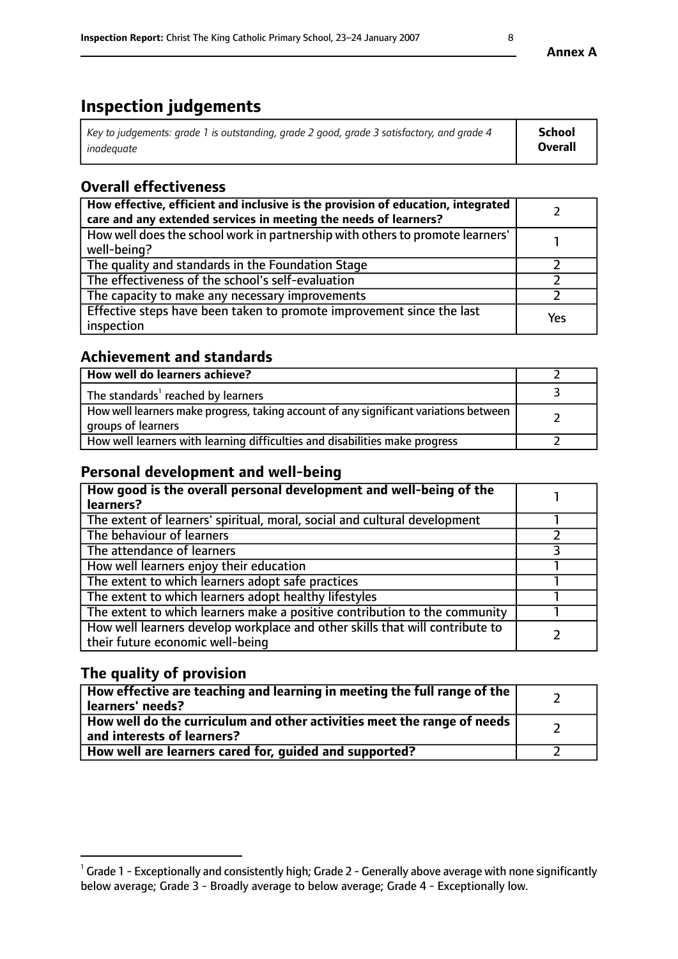# **Inspection judgements**

| Key to judgements: grade 1 is outstanding, grade 2 good, grade 3 satisfactory, and grade 4 | School         |
|--------------------------------------------------------------------------------------------|----------------|
| inadeauate                                                                                 | <b>Overall</b> |

# **Overall effectiveness**

| How effective, efficient and inclusive is the provision of education, integrated<br>care and any extended services in meeting the needs of learners? |     |
|------------------------------------------------------------------------------------------------------------------------------------------------------|-----|
| How well does the school work in partnership with others to promote learners'<br>well-being?                                                         |     |
| The quality and standards in the Foundation Stage                                                                                                    |     |
| The effectiveness of the school's self-evaluation                                                                                                    |     |
| The capacity to make any necessary improvements                                                                                                      |     |
| Effective steps have been taken to promote improvement since the last<br>inspection                                                                  | Yes |

## **Achievement and standards**

| How well do learners achieve?                                                                               |  |
|-------------------------------------------------------------------------------------------------------------|--|
| The standards <sup>1</sup> reached by learners                                                              |  |
| How well learners make progress, taking account of any significant variations between<br>groups of learners |  |
| How well learners with learning difficulties and disabilities make progress                                 |  |

# **Personal development and well-being**

| How good is the overall personal development and well-being of the<br>learners?                                  |  |
|------------------------------------------------------------------------------------------------------------------|--|
| The extent of learners' spiritual, moral, social and cultural development                                        |  |
| The behaviour of learners                                                                                        |  |
| The attendance of learners                                                                                       |  |
| How well learners enjoy their education                                                                          |  |
| The extent to which learners adopt safe practices                                                                |  |
| The extent to which learners adopt healthy lifestyles                                                            |  |
| The extent to which learners make a positive contribution to the community                                       |  |
| How well learners develop workplace and other skills that will contribute to<br>their future economic well-being |  |

# **The quality of provision**

| How effective are teaching and learning in meeting the full range of the<br>  learners' needs?                      |  |
|---------------------------------------------------------------------------------------------------------------------|--|
| $\mid$ How well do the curriculum and other activities meet the range of needs<br>$\mid$ and interests of learners? |  |
| How well are learners cared for, guided and supported?                                                              |  |

 $^1$  Grade 1 - Exceptionally and consistently high; Grade 2 - Generally above average with none significantly below average; Grade 3 - Broadly average to below average; Grade 4 - Exceptionally low.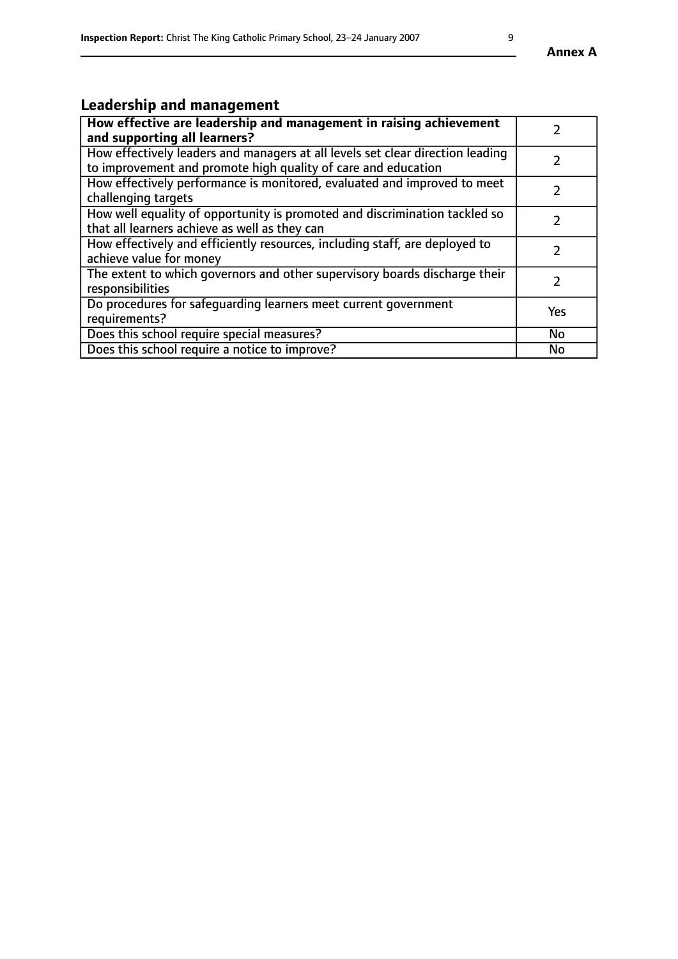# **Leadership and management**

| How effective are leadership and management in raising achievement<br>and supporting all learners?                                              |           |
|-------------------------------------------------------------------------------------------------------------------------------------------------|-----------|
| How effectively leaders and managers at all levels set clear direction leading<br>to improvement and promote high quality of care and education |           |
| How effectively performance is monitored, evaluated and improved to meet<br>challenging targets                                                 |           |
| How well equality of opportunity is promoted and discrimination tackled so<br>that all learners achieve as well as they can                     |           |
| How effectively and efficiently resources, including staff, are deployed to<br>achieve value for money                                          |           |
| The extent to which governors and other supervisory boards discharge their<br>responsibilities                                                  |           |
| Do procedures for safequarding learners meet current government<br>requirements?                                                                | Yes       |
| Does this school require special measures?                                                                                                      | No        |
| Does this school require a notice to improve?                                                                                                   | <b>No</b> |